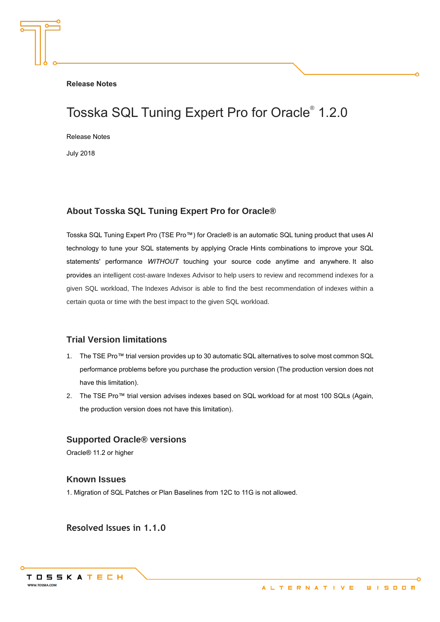**Release Notes**

# Tosska SQL Tuning Expert Pro for Oracle® 1.2.0

Release Notes

July 2018

## **About Tosska SQL Tuning Expert Pro for Oracle®**

Tosska SQL Tuning Expert Pro (TSE Pro™) for Oracle® is an automatic SQL tuning product that uses AI technology to tune your SQL statements by applying Oracle Hints combinations to improve your SQL statements' performance *WITHOUT* touching your source code anytime and anywhere. It also provides an intelligent cost-aware Indexes Advisor to help users to review and recommend indexes for a given SQL workload, The Indexes Advisor is able to find the best recommendation of indexes within a certain quota or time with the best impact to the given SQL workload.

## **Trial Version limitations**

- 1. The TSE Pro™ trial version provides up to 30 automatic SQL alternatives to solve most common SQL performance problems before you purchase the production version (The production version does not have this limitation).
- 2. The TSE Pro™ trial version advises indexes based on SQL workload for at most 100 SQLs (Again, the production version does not have this limitation).

### **Supported Oracle® versions**

Oracle® 11.2 or higher

#### **Known Issues**

1. Migration of SQL Patches or Plan Baselines from 12C to 11G is not allowed.

**Resolved Issues in 1.1.0**